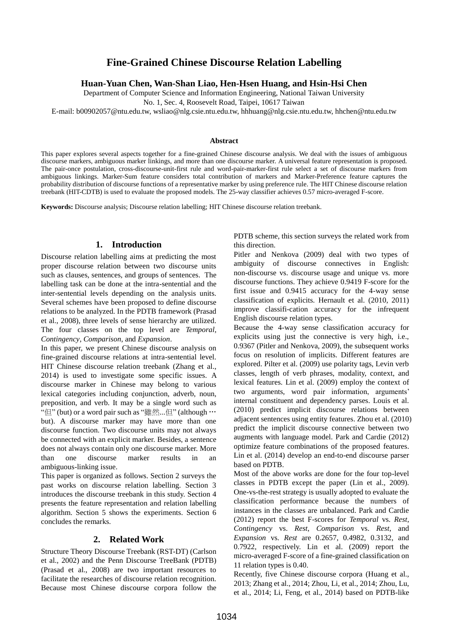# **Fine-Grained Chinese Discourse Relation Labelling**

**Huan-Yuan Chen, Wan-Shan Liao, Hen-Hsen Huang, and Hsin-Hsi Chen**

Department of Computer Science and Information Engineering, National Taiwan University

No. 1, Sec. 4, Roosevelt Road, Taipei, 10617 Taiwan

E-mail: b00902057@ntu.edu.tw, wsliao@nlg.csie.ntu.edu.tw, hhhuang@nlg.csie.ntu.edu.tw, hhchen@ntu.edu.tw

#### **Abstract**

This paper explores several aspects together for a fine-grained Chinese discourse analysis. We deal with the issues of ambiguous discourse markers, ambiguous marker linkings, and more than one discourse marker. A universal feature representation is proposed. The pair-once postulation, cross-discourse-unit-first rule and word-pair-marker-first rule select a set of discourse markers from ambiguous linkings. Marker-Sum feature considers total contribution of markers and Marker-Preference feature captures the probability distribution of discourse functions of a representative marker by using preference rule. The HIT Chinese discourse relation treebank (HIT-CDTB) is used to evaluate the proposed models. The 25-way classifier achieves 0.57 micro-averaged F-score.

**Keywords:** Discourse analysis; Discourse relation labelling; HIT Chinese discourse relation treebank.

## **1. Introduction**

Discourse relation labelling aims at predicting the most proper discourse relation between two discourse units such as clauses, sentences, and groups of sentences. The labelling task can be done at the intra-sentential and the inter-sentential levels depending on the analysis units. Several schemes have been proposed to define discourse relations to be analyzed. In the PDTB framework (Prasad et al., 2008), three levels of sense hierarchy are utilized. The four classes on the top level are *Temporal*, *Contingency*, *Comparison*, and *Expansion*.

In this paper, we present Chinese discourse analysis on fine-grained discourse relations at intra-sentential level. HIT Chinese discourse relation treebank (Zhang et al., 2014) is used to investigate some specific issues. A discourse marker in Chinese may belong to various lexical categories including conjunction, adverb, noun, preposition, and verb. It may be a single word such as " $\mathbb{E}$ " (but) or a word pair such as "雖然...但" (although  $\cdots$ but). A discourse marker may have more than one discourse function. Two discourse units may not always be connected with an explicit marker. Besides, a sentence does not always contain only one discourse marker. More than one discourse marker results in an ambiguous-linking issue.

This paper is organized as follows. Section 2 surveys the past works on discourse relation labelling. Section 3 introduces the discourse treebank in this study. Section 4 presents the feature representation and relation labelling algorithm. Section 5 shows the experiments. Section 6 concludes the remarks.

# **2. Related Work**

Structure Theory Discourse Treebank (RST-DT) (Carlson et al., 2002) and the Penn Discourse TreeBank (PDTB) (Prasad et al., 2008) are two important resources to facilitate the researches of discourse relation recognition. Because most Chinese discourse corpora follow the PDTB scheme, this section surveys the related work from this direction.

Pitler and Nenkova (2009) deal with two types of ambiguity of discourse connectives in English: non-discourse vs. discourse usage and unique vs. more discourse functions. They achieve 0.9419 F-score for the first issue and 0.9415 accuracy for the 4-way sense classification of explicits. Hernault et al. (2010, 2011) improve classifi-cation accuracy for the infrequent English discourse relation types.

Because the 4-way sense classification accuracy for explicits using just the connective is very high, i.e., 0.9367 (Pitler and Nenkova, 2009), the subsequent works focus on resolution of implicits. Different features are explored. Pilter et al. (2009) use polarity tags, Levin verb classes, length of verb phrases, modality, context, and lexical features. Lin et al. (2009) employ the context of two arguments, word pair information, arguments' internal constituent and dependency parses. Louis et al. (2010) predict implicit discourse relations between adjacent sentences using entity features. Zhou et al. (2010) predict the implicit discourse connective between two augments with language model. Park and Cardie (2012) optimize feature combinations of the proposed features. Lin et al. (2014) develop an end-to-end discourse parser based on PDTB.

Most of the above works are done for the four top-level classes in PDTB except the paper (Lin et al., 2009). One-vs-the-rest strategy is usually adopted to evaluate the classification performance because the numbers of instances in the classes are unbalanced. Park and Cardie (2012) report the best F-scores for *Temporal* vs. *Rest*, *Contingency* vs. *Rest*, *Comparison* vs. *Rest*, and *Expansion* vs. *Rest* are 0.2657, 0.4982, 0.3132, and 0.7922, respectively. Lin et al. (2009) report the micro-averaged F-score of a fine-grained classification on 11 relation types is 0.40.

Recently, five Chinese discourse corpora (Huang et al., 2013; Zhang et al., 2014; Zhou, Li, et al., 2014; Zhou, Lu, et al., 2014; Li, Feng, et al., 2014) based on PDTB-like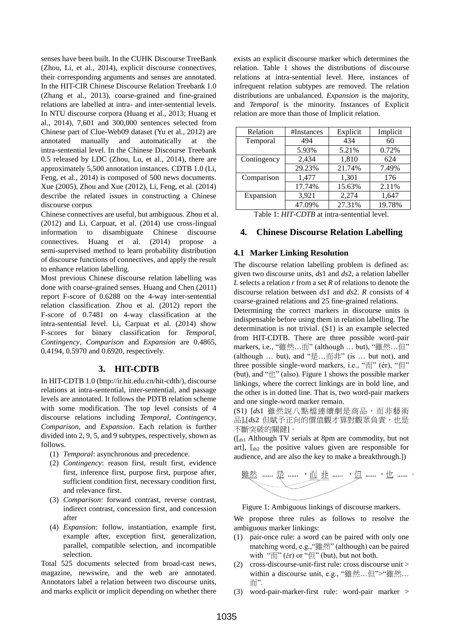senses have been built. In the CUHK Discourse TreeBank (Zhou, Li, et al., 2014), explicit discourse connectives, their corresponding arguments and senses are annotated. In the HIT-CIR Chinese Discourse Relation Treebank 1.0 (Zhang et al., 2013), coarse-grained and fine-grained relations are labelled at intra- and inter-sentential levels. In NTU discourse corpora (Huang et al., 2013; Huang et al., 2014), 7,601 and 300,000 sentences selected from Chinese part of Clue-Web09 dataset (Yu et al., 2012) are annotated manually and automatically at the intra-sentential level. In the Chinese Discourse Treebank 0.5 released by LDC (Zhou, Lu, et al., 2014), there are approximately 5,500 annotation instances. CDTB 1.0 (Li, Feng, et al., 2014) is composed of 500 news documents. Xue (2005), Zhou and Xue (2012), Li, Feng, et al. (2014) describe the related issues in constructing a Chinese discourse corpus

Chinese connectives are useful, but ambiguous. Zhou et al. (2012) and Li, Carpuat, et al. (2014) use cross-lingual information to disambiguate Chinese discourse connectives. Huang et al. (2014) propose a semi-supervised method to learn probability distribution of discourse functions of connectives, and apply the result to enhance relation labelling.

Most previous Chinese discourse relation labelling was done with coarse-grained senses. Huang and Chen (2011) report F-score of 0.6288 on the 4-way inter-sentential relation classification. Zhou et al. (2012) report the F-score of 0.7481 on 4-way classification at the intra-sentential level. Li, Carpuat et al. (2014) show F-scores for binary classification for *Temporal*, *Contingency*, *Comparison* and *Expansion* are 0.4865, 0.4194, 0.5970 and 0.6920, respectively.

## **3. HIT-CDTB**

In HIT-CDTB 1.0 (http://ir.hit.edu.cn/hit-cdtb/), discourse relations at intra-sentential, inter-sentential, and passage levels are annotated. It follows the PDTB relation scheme with some modification. The top level consists of 4 discourse relations including *Temporal*, *Contingency*, *Comparison*, and *Expansion*. Each relation is further divided into 2, 9, 5, and 9 subtypes, respectively, shown as follows.

- (1) *Temporal*: asynchronous and precedence.
- (2) *Contingency*: reason first, result first, evidence first, inference first, purpose first, purpose after, sufficient condition first, necessary condition first, and relevance first.
- (3) *Comparison*: forward contrast, reverse contrast, indirect contrast, concession first, and concession after
- (4) *Expansion*: follow, instantiation, example first, example after, exception first, generalization, parallel, compatible selection, and incompatible selection.

Total 525 documents selected from broad-cast news, magazine, newswire, and the web are annotated. Annotators label a relation between two discourse units, and marks explicit or implicit depending on whether there exists an explicit discourse marker which determines the relation. Table 1 shows the distributions of discourse relations at intra-sentential level. Here, instances of infrequent relation subtypes are removed. The relation distributions are unbalanced. *Expansion* is the majority, and *Temporal* is the minority. Instances of Explicit relation are more than those of Implicit relation.

| #Instances | Explicit | Implicit |
|------------|----------|----------|
| 494        | 434      | 60       |
| 5.93%      | 5.21%    | 0.72%    |
| 2,434      | 1,810    | 624      |
| 29.23%     | 21.74%   | 7.49%    |
| 1,477      | 1,301    | 176      |
| 17.74%     | 15.63%   | 2.11%    |
| 3,921      | 2,274    | 1,647    |
| 47.09%     | 27.31%   | 19.78%   |
|            |          |          |

Table 1: *HIT-CDTB* at intra-sentential level.

# **4. Chinese Discourse Relation Labelling**

## **4.1 Marker Linking Resolution**

The discourse relation labelling problem is defined as: given two discourse units, *ds*1 and *ds*2, a relation labeller *L* selects a relation *r* from a set *R* of relations to denote the discourse relation between *ds*1 and *ds*2. *R* consists of 4 coarse-grained relations and 25 fine-grained relations.

Determining the correct markers in discourse units is indispensable before using them in relation labelling. The determination is not trivial. (S1) is an example selected from HIT-CDTB. There are three possible word-pair markers, i.e., "雖然…而" (although … but), "雖然…但" (although  $\ldots$  but), and " $\frac{1}{k}$ .  $\ldots$   $\frac{1}{k}$ " (is  $\ldots$  but not), and three possible single-word markers, i.e., "而" (ér), "但" (but), and " $\pm$ " (also). Figure 1 shows the possible marker linkings, where the correct linkings are in bold line, and the other is in dotted line. That is, two word-pair markers and one single-word marker remain.

(S1) [*ds*1 雖然說八點檔連續劇是商品,而非藝術 品],[ds2 但賦予正向的價值觀才算對觀眾負責,也是 不斷突破的關鍵]。

([*ds*<sup>1</sup> Although TV serials at 8pm are commodity, but not art], [*ds*<sup>2</sup> the positive values given are responsible for audience, and are also the key to make a breakthrough.])



Figure 1: Ambiguous linkings of discourse markers.

We propose three rules as follows to resolve the ambiguous marker linkings:

- (1) pair-once rule: a word can be paired with only one matching word, e.g.,"雖然" (although) can be paired with " $\overline{m}$ " ( $\acute{e}r$ ) or " $\left(\frac{H}{H}\right)$ " (but), but not both.
- (2) cross-discourse-unit-first rule: cross discourse unit  $>$ within a discourse unit, e.g., "雖然…但">"雖然… 而".
- (3) word-pair-marker-first rule: word-pair marker >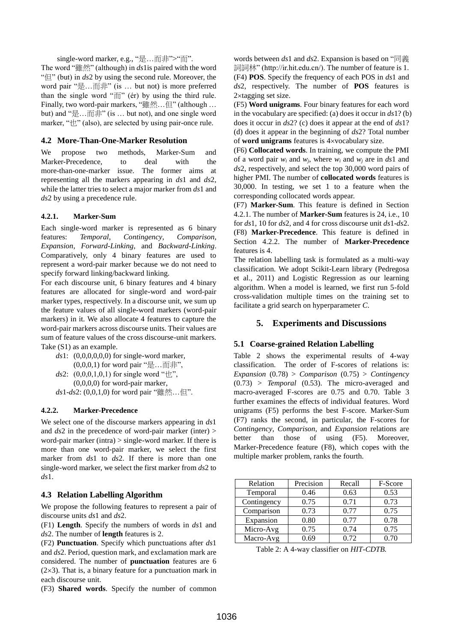single-word marker, e.g., "是…而非">"而". The word "雖然" (although) in *ds*1is paired with the word "但" (but) in *ds*2 by using the second rule. Moreover, the word pair "是…而非" (is … but not) is more preferred than the single word "而" (ér) by using the third rule. Finally, two word-pair markers, "雖然…但" (although … but) and "是…而非" (is … but not), and one single word marker, " $\uparrow\!\!\!\downarrow$ " (also), are selected by using pair-once rule.

## **4.2 More-Than-One-Marker Resolution**

We propose two methods, Marker-Sum and Marker-Precedence, to deal with the more-than-one-marker issue. The former aims at representing all the markers appearing in *ds*1 and *ds*2, while the latter tries to select a major marker from *ds*1 and *ds*2 by using a precedence rule.

# **4.2.1. Marker-Sum**

Each single-word marker is represented as 6 binary features: *Temporal*, *Contingency*, *Comparison*, *Expansion*, *Forward-Linking*, and *Backward-Linking*. Comparatively, only 4 binary features are used to represent a word-pair marker because we do not need to specify forward linking/backward linking.

For each discourse unit, 6 binary features and 4 binary features are allocated for single-word and word-pair marker types, respectively. In a discourse unit, we sum up the feature values of all single-word markers (word-pair markers) in it. We also allocate 4 features to capture the word-pair markers across discourse units. Their values are sum of feature values of the cross discourse-unit markers. Take (S1) as an example.

- *ds*1: (0,0,0,0,0,0) for single-word marker,  $(0,0,0,1)$  for word pair "是…而非",
- *ds*2:  $(0,0,0,1,0,1)$  for single word " $\pm$ ", (0,0,0,0) for word-pair marker, *ds*1-*ds*2: (0,0,1,0) for word pair "雖然…但".

## **4.2.2. Marker-Precedence**

We select one of the discourse markers appearing in *ds*1 and *ds*2 in the precedence of word-pair marker (inter) > word-pair marker (intra) > single-word marker. If there is more than one word-pair marker, we select the first marker from *ds*1 to *ds*2. If there is more than one single-word marker, we select the first marker from *ds*2 to *ds*1.

## **4.3 Relation Labelling Algorithm**

We propose the following features to represent a pair of discourse units *ds*1 and *ds*2.

(F1) **Length**. Specify the numbers of words in *ds*1 and *ds*2. The number of **length** features is 2.

(F2) **Punctuation**. Specify which punctuations after *ds*1 and *ds*2. Period, question mark, and exclamation mark are considered. The number of **punctuation** features are 6  $(2\times3)$ . That is, a binary feature for a punctuation mark in each discourse unit.

(F3) **Shared words**. Specify the number of common

words between *ds*1 and *ds*2. Expansion is based on "同義 詞詞林" (http://ir.hit.edu.cn/). The number of feature is 1. (F4) **POS**. Specify the frequency of each POS in *ds*1 and *ds*2, respectively. The number of **POS** features is 2×tagging set size.

(F5) **Word unigrams**. Four binary features for each word in the vocabulary are specified: (a) does it occur in *ds*1? (b) does it occur in *ds*2? (c) does it appear at the end of *ds*1? (d) does it appear in the beginning of *ds*2? Total number of **word unigrams** features is 4vocabulary size.

(F6) **Collocated words**. In training, we compute the PMI of a word pair  $w_i$  and  $w_j$ , where  $w_i$  and  $w_j$  are in *ds*1 and *ds*2, respectively, and select the top 30,000 word pairs of higher PMI. The number of **collocated words** features is 30,000. In testing, we set 1 to a feature when the corresponding collocated words appear.

(F7) **Marker-Sum**. This feature is defined in Section 4.2.1. The number of **Marker-Sum** features is 24, i.e., 10 for *ds*1, 10 for *ds*2, and 4 for cross discourse unit *ds*1-*ds*2. (F8) **Marker-Precedence**. This feature is defined in Section 4.2.2. The number of **Marker-Precedence** features is 4.

The relation labelling task is formulated as a multi-way classification. We adopt Scikit-Learn library (Pedregosa et al., 2011) and Logistic Regression as our learning algorithm. When a model is learned, we first run 5-fold cross-validation multiple times on the training set to facilitate a grid search on hyperparameter *C*.

# **5. Experiments and Discussions**

## **5.1 Coarse-grained Relation Labelling**

Table 2 shows the experimental results of 4-way classification. The order of F-scores of relations is: *Expansion* (0.78) > *Comparison* (0.75) > *Contingency* (0.73) > *Temporal* (0.53). The micro-averaged and macro-averaged F-scores are 0.75 and 0.70. Table 3 further examines the effects of individual features. Word unigrams (F5) performs the best F-score. Marker-Sum (F7) ranks the second, in particular, the F-scores for *Contingency*, *Comparison*, and *Expansion* relations are better than those of using (F5). Moreover, Marker-Precedence feature (F8), which copes with the multiple marker problem, ranks the fourth.

| Relation    | Precision | Recall | F-Score |
|-------------|-----------|--------|---------|
| Temporal    | 0.46      | 0.63   | 0.53    |
| Contingency | 0.75      | 0.71   | 0.73    |
| Comparison  | 0.73      | 0.77   | 0.75    |
| Expansion   | 0.80      | 0.77   | 0.78    |
| Micro-Avg   | 0.75      | 0.74   | 0.75    |
| Macro-Avg   | 0.69      | 0.72   | 0.70    |

Table 2: A 4-way classifier on *HIT-CDTB.*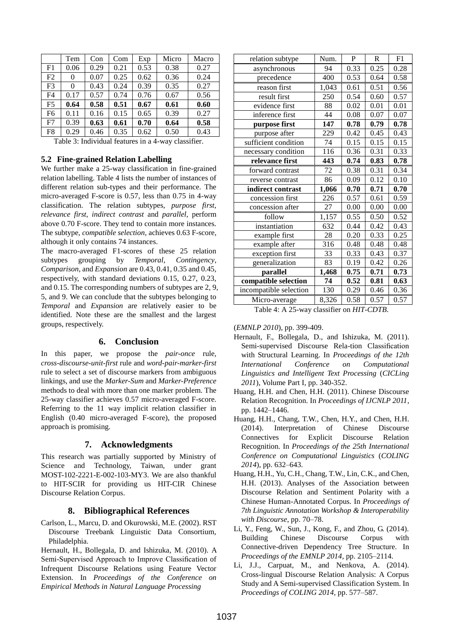|                | Tem  | Con  | Com  | Exp  | Micro | Macro |
|----------------|------|------|------|------|-------|-------|
| F1             | 0.06 | 0.29 | 0.21 | 0.53 | 0.38  | 0.27  |
| F2             | 0    | 0.07 | 0.25 | 0.62 | 0.36  | 0.24  |
| F <sub>3</sub> | 0    | 0.43 | 0.24 | 0.39 | 0.35  | 0.27  |
| F4             | 0.17 | 0.57 | 0.74 | 0.76 | 0.67  | 0.56  |
| F <sub>5</sub> | 0.64 | 0.58 | 0.51 | 0.67 | 0.61  | 0.60  |
| F <sub>6</sub> | 0.11 | 0.16 | 0.15 | 0.65 | 0.39  | 0.27  |
| F7             | 0.39 | 0.63 | 0.61 | 0.70 | 0.64  | 0.58  |
| F8             | 0.29 | 0.46 | 0.35 | 0.62 | 0.50  | 0.43  |

Table 3: Individual features in a 4-way classifier.

#### **5.2 Fine-grained Relation Labelling**

We further make a 25-way classification in fine-grained relation labelling. Table 4 lists the number of instances of different relation sub-types and their performance. The micro-averaged F-score is 0.57, less than 0.75 in 4-way classification. The relation subtypes, *purpose first*, *relevance first*, *indirect contrast* and *parallel*, perform above 0.70 F-score. They tend to contain more instances. The subtype, *compatible selection*, achieves 0.63 F-score, although it only contains 74 instances.

The macro-averaged F1-scores of these 25 relation subtypes grouping by *Temporal*, *Contingency*, *Comparison*, and *Expansion* are 0.43, 0.41, 0.35 and 0.45, respectively, with standard deviations 0.15, 0.27, 0.23, and 0.15. The corresponding numbers of subtypes are 2, 9, 5, and 9. We can conclude that the subtypes belonging to *Temporal* and *Expansion* are relatively easier to be identified. Note these are the smallest and the largest groups, respectively.

#### **6. Conclusion**

In this paper, we propose the *pair-once* rule, *cross-discourse-unit-first* rule and *word-pair-marker-first* rule to select a set of discourse markers from ambiguous linkings, and use the *Marker-Sum* and *Marker-Preference* methods to deal with more than one marker problem. The 25-way classifier achieves 0.57 micro-averaged F-score. Referring to the 11 way implicit relation classifier in English (0.40 micro-averaged F-score), the proposed approach is promising.

## **7. Acknowledgments**

This research was partially supported by Ministry of Science and Technology, Taiwan, under grant MOST-102-2221-E-002-103-MY3. We are also thankful to HIT-SCIR for providing us HIT-CIR Chinese Discourse Relation Corpus.

#### **8. Bibliographical References**

Carlson, L., Marcu, D. and Okurowski, M.E. (2002). RST Discourse Treebank Linguistic Data Consortium, Philadelphia.

Hernault, H., Bollegala, D. and Ishizuka, M. (2010). A Semi-Supervised Approach to Improve Classification of Infrequent Discourse Relations using Feature Vector Extension. In *Proceedings of the Conference on Empirical Methods in Natural Language Processing*

| relation subtype       | Num.  | P    | $\mathbf R$ | F1   |
|------------------------|-------|------|-------------|------|
| asynchronous           | 94    | 0.33 | 0.25        | 0.28 |
| precedence             | 400   | 0.53 | 0.64        | 0.58 |
| reason first           | 1,043 | 0.61 | 0.51        | 0.56 |
| result first           | 250   | 0.54 | 0.60        | 0.57 |
| evidence first         | 88    | 0.02 | 0.01        | 0.01 |
| inference first        | 44    | 0.08 | 0.07        | 0.07 |
| purpose first          | 147   | 0.78 | 0.79        | 0.78 |
| purpose after          | 229   | 0.42 | 0.45        | 0.43 |
| sufficient condition   | 74    | 0.15 | 0.15        | 0.15 |
| necessary condition    | 116   | 0.36 | 0.31        | 0.33 |
| relevance first        | 443   | 0.74 | 0.83        | 0.78 |
| forward contrast       | 72    | 0.38 | 0.31        | 0.34 |
| reverse contrast       | 86    | 0.09 | 0.12        | 0.10 |
| indirect contrast      | 1,066 | 0.70 | 0.71        | 0.70 |
| concession first       | 226   | 0.57 | 0.61        | 0.59 |
| concession after       | 27    | 0.00 | 0.00        | 0.00 |
| follow                 | 1,157 | 0.55 | 0.50        | 0.52 |
| instantiation          | 632   | 0.44 | 0.42        | 0.43 |
| example first          | 28    | 0.20 | 0.33        | 0.25 |
| example after          | 316   | 0.48 | 0.48        | 0.48 |
| exception first        | 33    | 0.33 | 0.43        | 0.37 |
| generalization         | 83    | 0.19 | 0.42        | 0.26 |
| parallel               | 1,468 | 0.75 | 0.71        | 0.73 |
| compatible selection   | 74    | 0.52 | 0.81        | 0.63 |
| incompatible selection | 130   | 0.29 | 0.46        | 0.36 |
| Micro-average          | 8,326 | 0.58 | 0.57        | 0.57 |

Table 4: A 25-way classifier on *HIT-CDTB*.

(*EMNLP 2010*), pp. 399-409.

- Hernault, F., Bollegala, D., and Ishizuka, M. (2011). Semi-supervised Discourse Rela-tion Classification with Structural Learning. In *Proceedings of the 12th International Conference on Computational Linguistics and Intelligent Text Processing* (*CICLing 2011*), Volume Part I, pp. 340-352.
- Huang, H.H. and Chen, H.H. (2011). Chinese Discourse Relation Recognition. In *Proceedings of IJCNLP 2011*, pp. 1442–1446.
- Huang, H.H., Chang, T.W., Chen, H.Y., and Chen, H.H. (2014). Interpretation of Chinese Discourse Connectives for Explicit Discourse Relation Recognition. In *Proceedings of the 25th International Conference on Computational Linguistics* (*COLING 2014*), pp. 632–643.
- Huang, H.H., Yu, C.H., Chang, T.W., Lin, C.K., and Chen, H.H. (2013). Analyses of the Association between Discourse Relation and Sentiment Polarity with a Chinese Human-Annotated Corpus. In *Proceedings of 7th Linguistic Annotation Workshop & Interoperability with Discourse*, pp. 70–78.
- Li, Y., Feng, W., Sun, J., Kong, F., and Zhou, G. (2014). Building Chinese Discourse Corpus with Connective-driven Dependency Tree Structure. In *Proceedings of the EMNLP 2014*, pp. 2105–2114.
- Li, J.J., Carpuat, M., and Nenkova, A. (2014). Cross-lingual Discourse Relation Analysis: A Corpus Study and A Semi-supervised Classification System. In *Proceedings of COLING 2014*, pp. 577–587.